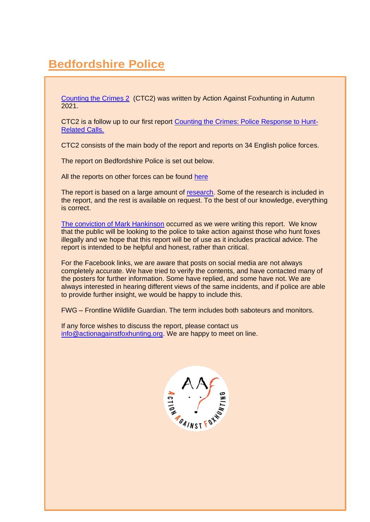# **Bedfordshire Police**

[Counting the Crimes 2](https://www.actionagainstfoxhunting.org/counting-the-crimes2-the-police-response/) (CTC2) was written by Action Against Foxhunting in Autumn 2021.

CTC2 is a follow up to our first report [Counting the Crimes: Police Response to Hunt-](https://www.actionagainstfoxhunting.org/counting-the-crimes/)[Related Calls.](https://www.actionagainstfoxhunting.org/counting-the-crimes/)

CTC2 consists of the main body of the report and reports on 34 English police forces.

The report on Bedfordshire Police is set out below.

All the reports on other forces can be found [here](https://www.actionagainstfoxhunting.org/counting-the-crimes2-the-police-response/)

The report is based on a large amount of [research.](https://www.actionagainstfoxhunting.org/wp-content/uploads/2021/11/A-1411-Research-for-CTC2.pdf) Some of the research is included in the report, and the rest is available on request. To the best of our knowledge, everything is correct.

[The conviction of Mark Hankinson](https://www.league.org.uk/news-and-resources/news/hunting-office-webinars-the-road-to-conviction/) occurred as we were writing this report. We know that the public will be looking to the police to take action against those who hunt foxes illegally and we hope that this report will be of use as it includes practical advice. The report is intended to be helpful and honest, rather than critical.

For the Facebook links, we are aware that posts on social media are not always completely accurate. We have tried to verify the contents, and have contacted many of the posters for further information. Some have replied, and some have not. We are always interested in hearing different views of the same incidents, and if police are able to provide further insight, we would be happy to include this.

FWG – Frontline Wildlife Guardian. The term includes both saboteurs and monitors.

If any force wishes to discuss the report, please contact us [info@actionagainstfoxhunting.org.](mailto:info@actionagainstfoxhunting.org) We are happy to meet on line.

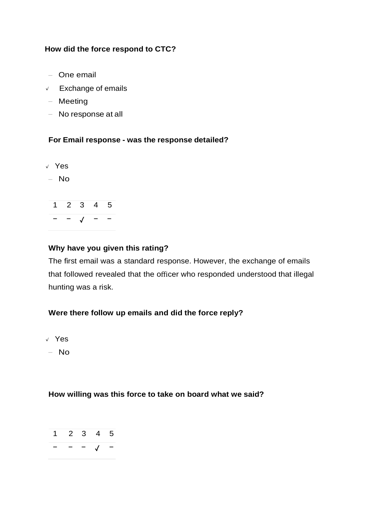#### **How did the force respond to CTC?**

- One email
- **✓** Exchange of emails
- Meeting
- No response at all

#### **For Email response - was the response detailed?**

- **✓** Yes
- No



#### **Why have you given this rating?**

The first email was a standard response. However, the exchange of emails that followed revealed that the officer who responded understood that illegal hunting was a risk.

#### **Were there follow up emails and did the force reply?**

- **✓** Yes
- No

#### **How willing was this force to take on board what we said?**

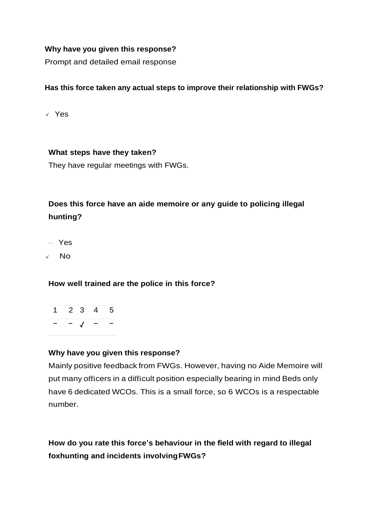#### **Why have you given this response?**

Prompt and detailed email response

#### **Has this force taken any actual steps to improve their relationship with FWGs?**

**✓** Yes

#### **What steps have they taken?**

They have regular meetings with FWGs.

## **Does this force have an aide memoire or any guide to policing illegal hunting?**

- Yes
- **✓** No

#### **How well trained are the police in this force?**

1 2 3 4 5 − − ✓ − −

#### **Why have you given this response?**

Mainly positive feedback from FWGs. However, having no Aide Memoire will put many officers in a difficult position especially bearing in mind Beds only have 6 dedicated WCOs. This is a small force, so 6 WCOs is a respectable number.

## **How do you rate this force's behaviour in the field with regard to illegal foxhunting and incidents involvingFWGs?**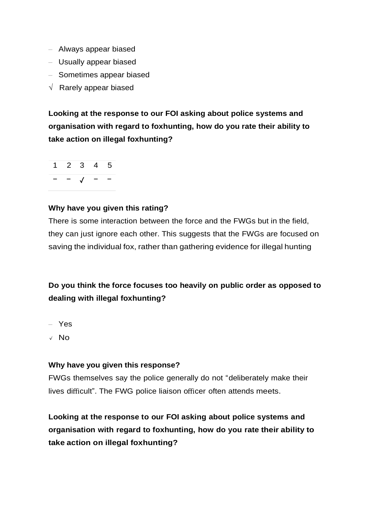- Always appear biased
- Usually appear biased
- Sometimes appear biased
- $\sqrt{ }$  Rarely appear biased

**Looking at the response to our FOI asking about police systems and organisation with regard to foxhunting, how do you rate their ability to take action on illegal foxhunting?**



#### **Why have you given this rating?**

There is some interaction between the force and the FWGs but in the field, they can just ignore each other. This suggests that the FWGs are focused on saving the individual fox, rather than gathering evidence for illegal hunting

### **Do you think the force focuses too heavily on public order as opposed to dealing with illegal foxhunting?**

- Yes
- **✓** No

#### **Why have you given this response?**

FWGs themselves say the police generally do not "deliberately make their lives difficult". The FWG police liaison officer often attends meets.

**Looking at the response to our FOI asking about police systems and organisation with regard to foxhunting, how do you rate their ability to take action on illegal foxhunting?**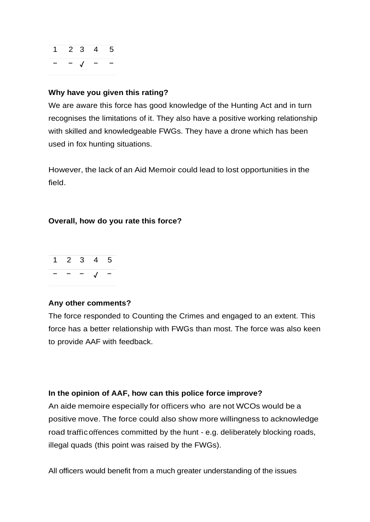

#### **Why have you given this rating?**

We are aware this force has good knowledge of the Hunting Act and in turn recognises the limitations of it. They also have a positive working relationship with skilled and knowledgeable FWGs. They have a drone which has been used in fox hunting situations.

However, the lack of an Aid Memoir could lead to lost opportunities in the field.

#### **Overall, how do you rate this force?**



#### **Any other comments?**

The force responded to Counting the Crimes and engaged to an extent. This force has a better relationship with FWGs than most. The force was also keen to provide AAF with feedback.

#### **In the opinion of AAF, how can this police force improve?**

An aide memoire especially for officers who are not WCOs would be a positive move. The force could also show more willingness to acknowledge road trafficoffences committed by the hunt - e.g. deliberately blocking roads, illegal quads (this point was raised by the FWGs).

All officers would benefit from a much greater understanding of the issues